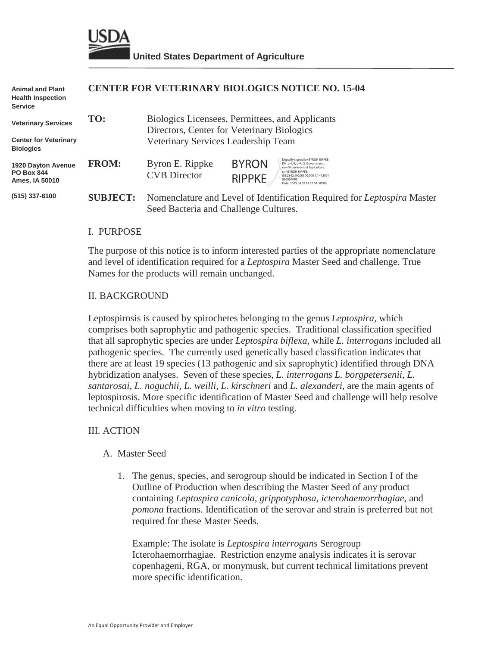

| <b>Animal and Plant</b><br><b>Health Inspection</b><br><b>Service</b> |                 |                                                                                                                  | <b>CENTER FOR VETERINARY BIOLOGICS NOTICE NO. 15-04</b>                                                                                                                                                                                     |  |
|-----------------------------------------------------------------------|-----------------|------------------------------------------------------------------------------------------------------------------|---------------------------------------------------------------------------------------------------------------------------------------------------------------------------------------------------------------------------------------------|--|
| <b>Veterinary Services</b>                                            | TO:             |                                                                                                                  | Biologics Licensees, Permittees, and Applicants<br>Directors, Center for Veterinary Biologics                                                                                                                                               |  |
| <b>Center for Veterinary</b><br><b>Biologics</b>                      |                 | Veterinary Services Leadership Team                                                                              |                                                                                                                                                                                                                                             |  |
| 1920 Dayton Avenue<br><b>PO Box 844</b><br>Ames, IA 50010             | <b>FROM:</b>    | Byron E. Rippke<br><b>CVB</b> Director                                                                           | Digitally signed by BYRON RIPPKE<br><b>BYRON</b><br>DN: c=US, o=U.S. Government.<br>ou=Department of Agriculture,<br>cn=BYRON RIPPKE.<br>0.9.2342.19200300.100.1.1=12001<br><b>RIPPKE</b><br>000004093<br>Date: 2015.04.02 14:21:51 -05'00' |  |
| (515) 337-6100                                                        | <b>SUBJECT:</b> | Nomenclature and Level of Identification Required for Leptospira Master<br>Seed Bacteria and Challenge Cultures. |                                                                                                                                                                                                                                             |  |

#### I. PURPOSE

The purpose of this notice is to inform interested parties of the appropriate nomenclature and level of identification required for a *Leptospira* Master Seed and challenge. True Names for the products will remain unchanged.

#### II. BACKGROUND

Leptospirosis is caused by spirochetes belonging to the genus *Leptospira,* which comprises both saprophytic and pathogenic species. Traditional classification specified that all saprophytic species are under *Leptospira biflexa*, while *L. interrogans* included all pathogenic species. The currently used genetically based classification indicates that there are at least 19 species (13 pathogenic and six saprophytic) identified through DNA hybridization analyses. Seven of these species, *L. interrogans L. borgpetersenii, L. santarosai, L. noguchii, L. weilli, L. kirschneri* and *L. alexanderi,* are the main agents of leptospirosis. More specific identification of Master Seed and challenge will help resolve technical difficulties when moving to *in vitro* testing.

#### III. ACTION

### A. Master Seed

1. The genus, species, and serogroup should be indicated in Section I of the Outline of Production when describing the Master Seed of any product containing *Leptospira canicola*, *grippotyphosa*, *icterohaemorrhagiae*, and *pomona* fractions. Identification of the serovar and strain is preferred but not required for these Master Seeds.

Example: The isolate is *Leptospira interrogans* Serogroup Icterohaemorrhagiae. Restriction enzyme analysis indicates it is serovar copenhageni, RGA, or monymusk, but current technical limitations prevent more specific identification.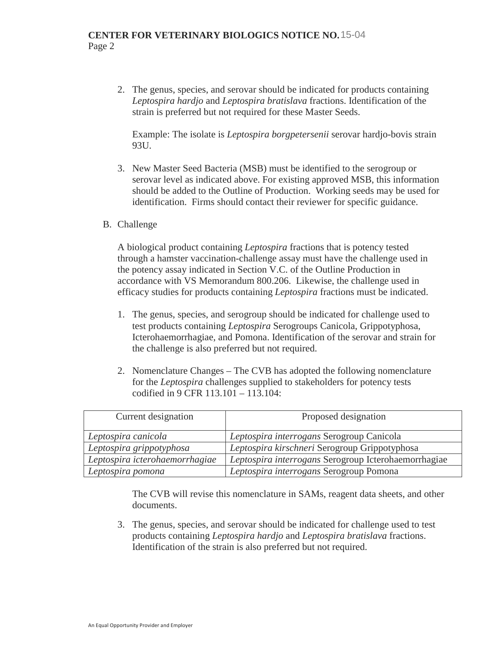2. The genus, species, and serovar should be indicated for products containing *Leptospira hardjo* and *Leptospira bratislava* fractions. Identification of the strain is preferred but not required for these Master Seeds.

Example: The isolate is *Leptospira borgpetersenii* serovar hardjo-bovis strain 93U.

- 3. New Master Seed Bacteria (MSB) must be identified to the serogroup or serovar level as indicated above. For existing approved MSB, this information should be added to the Outline of Production. Working seeds may be used for identification. Firms should contact their reviewer for specific guidance.
- B. Challenge

A biological product containing *Leptospira* fractions that is potency tested through a hamster vaccination-challenge assay must have the challenge used in the potency assay indicated in Section V.C. of the Outline Production in accordance with VS Memorandum 800.206. Likewise, the challenge used in efficacy studies for products containing *Leptospira* fractions must be indicated.

- 1. The genus, species, and serogroup should be indicated for challenge used to test products containing *Leptospira* Serogroups Canicola, Grippotyphosa, Icterohaemorrhagiae, and Pomona. Identification of the serovar and strain for the challenge is also preferred but not required.
- 2. Nomenclature Changes The CVB has adopted the following nomenclature for the *Leptospira* challenges supplied to stakeholders for potency tests codified in 9 CFR 113.101 – 113.104:

| Current designation            | Proposed designation                                 |
|--------------------------------|------------------------------------------------------|
| Leptospira canicola            | Leptospira interrogans Serogroup Canicola            |
| Leptospira grippotyphosa       | Leptospira kirschneri Serogroup Grippotyphosa        |
| Leptospira icterohaemorrhagiae | Leptospira interrogans Serogroup Icterohaemorrhagiae |
| Leptospira pomona              | Leptospira interrogans Serogroup Pomona              |

The CVB will revise this nomenclature in SAMs, reagent data sheets, and other documents.

3. The genus, species, and serovar should be indicated for challenge used to test products containing *Leptospira hardjo* and *Leptospira bratislava* fractions. Identification of the strain is also preferred but not required.